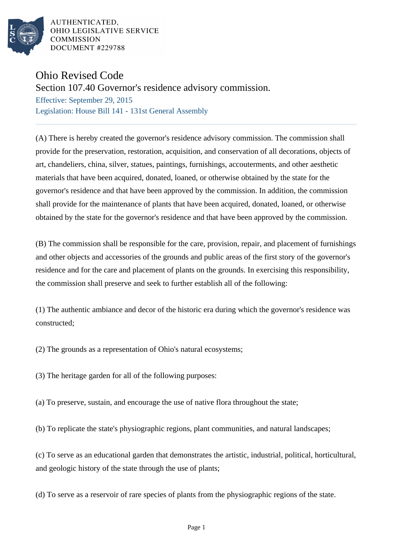

AUTHENTICATED. OHIO LEGISLATIVE SERVICE **COMMISSION** DOCUMENT #229788

## Ohio Revised Code

Section 107.40 Governor's residence advisory commission.

Effective: September 29, 2015 Legislation: House Bill 141 - 131st General Assembly

(A) There is hereby created the governor's residence advisory commission. The commission shall provide for the preservation, restoration, acquisition, and conservation of all decorations, objects of art, chandeliers, china, silver, statues, paintings, furnishings, accouterments, and other aesthetic materials that have been acquired, donated, loaned, or otherwise obtained by the state for the governor's residence and that have been approved by the commission. In addition, the commission shall provide for the maintenance of plants that have been acquired, donated, loaned, or otherwise obtained by the state for the governor's residence and that have been approved by the commission.

(B) The commission shall be responsible for the care, provision, repair, and placement of furnishings and other objects and accessories of the grounds and public areas of the first story of the governor's residence and for the care and placement of plants on the grounds. In exercising this responsibility, the commission shall preserve and seek to further establish all of the following:

(1) The authentic ambiance and decor of the historic era during which the governor's residence was constructed;

(2) The grounds as a representation of Ohio's natural ecosystems;

(3) The heritage garden for all of the following purposes:

(a) To preserve, sustain, and encourage the use of native flora throughout the state;

(b) To replicate the state's physiographic regions, plant communities, and natural landscapes;

(c) To serve as an educational garden that demonstrates the artistic, industrial, political, horticultural, and geologic history of the state through the use of plants;

(d) To serve as a reservoir of rare species of plants from the physiographic regions of the state.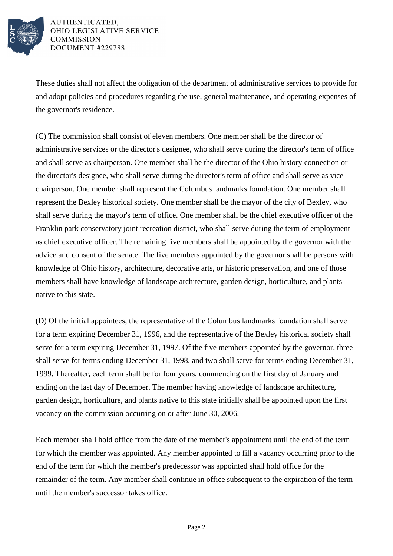

AUTHENTICATED. OHIO LEGISLATIVE SERVICE **COMMISSION** DOCUMENT #229788

These duties shall not affect the obligation of the department of administrative services to provide for and adopt policies and procedures regarding the use, general maintenance, and operating expenses of the governor's residence.

(C) The commission shall consist of eleven members. One member shall be the director of administrative services or the director's designee, who shall serve during the director's term of office and shall serve as chairperson. One member shall be the director of the Ohio history connection or the director's designee, who shall serve during the director's term of office and shall serve as vicechairperson. One member shall represent the Columbus landmarks foundation. One member shall represent the Bexley historical society. One member shall be the mayor of the city of Bexley, who shall serve during the mayor's term of office. One member shall be the chief executive officer of the Franklin park conservatory joint recreation district, who shall serve during the term of employment as chief executive officer. The remaining five members shall be appointed by the governor with the advice and consent of the senate. The five members appointed by the governor shall be persons with knowledge of Ohio history, architecture, decorative arts, or historic preservation, and one of those members shall have knowledge of landscape architecture, garden design, horticulture, and plants native to this state.

(D) Of the initial appointees, the representative of the Columbus landmarks foundation shall serve for a term expiring December 31, 1996, and the representative of the Bexley historical society shall serve for a term expiring December 31, 1997. Of the five members appointed by the governor, three shall serve for terms ending December 31, 1998, and two shall serve for terms ending December 31, 1999. Thereafter, each term shall be for four years, commencing on the first day of January and ending on the last day of December. The member having knowledge of landscape architecture, garden design, horticulture, and plants native to this state initially shall be appointed upon the first vacancy on the commission occurring on or after June 30, 2006.

Each member shall hold office from the date of the member's appointment until the end of the term for which the member was appointed. Any member appointed to fill a vacancy occurring prior to the end of the term for which the member's predecessor was appointed shall hold office for the remainder of the term. Any member shall continue in office subsequent to the expiration of the term until the member's successor takes office.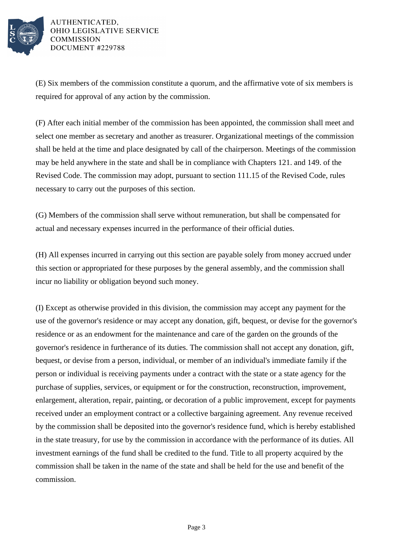

AUTHENTICATED. OHIO LEGISLATIVE SERVICE **COMMISSION** DOCUMENT #229788

(E) Six members of the commission constitute a quorum, and the affirmative vote of six members is required for approval of any action by the commission.

(F) After each initial member of the commission has been appointed, the commission shall meet and select one member as secretary and another as treasurer. Organizational meetings of the commission shall be held at the time and place designated by call of the chairperson. Meetings of the commission may be held anywhere in the state and shall be in compliance with Chapters 121. and 149. of the Revised Code. The commission may adopt, pursuant to section 111.15 of the Revised Code, rules necessary to carry out the purposes of this section.

(G) Members of the commission shall serve without remuneration, but shall be compensated for actual and necessary expenses incurred in the performance of their official duties.

(H) All expenses incurred in carrying out this section are payable solely from money accrued under this section or appropriated for these purposes by the general assembly, and the commission shall incur no liability or obligation beyond such money.

(I) Except as otherwise provided in this division, the commission may accept any payment for the use of the governor's residence or may accept any donation, gift, bequest, or devise for the governor's residence or as an endowment for the maintenance and care of the garden on the grounds of the governor's residence in furtherance of its duties. The commission shall not accept any donation, gift, bequest, or devise from a person, individual, or member of an individual's immediate family if the person or individual is receiving payments under a contract with the state or a state agency for the purchase of supplies, services, or equipment or for the construction, reconstruction, improvement, enlargement, alteration, repair, painting, or decoration of a public improvement, except for payments received under an employment contract or a collective bargaining agreement. Any revenue received by the commission shall be deposited into the governor's residence fund, which is hereby established in the state treasury, for use by the commission in accordance with the performance of its duties. All investment earnings of the fund shall be credited to the fund. Title to all property acquired by the commission shall be taken in the name of the state and shall be held for the use and benefit of the commission.